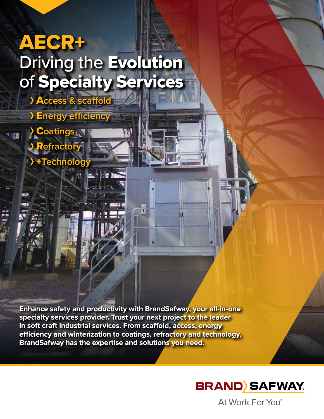# AECR+ Driving the Evolution of Specialty Services A**ccess & scaffold**

E**nergy efficiency**

C**oatings**

R**efractory**

+**Technology**

**Enhance safety and productivity with BrandSafway, your all-in-one specialty services provider. Trust your next project to the leader in soft craft industrial services. From scaffold, access, energy efficiency and winterization to coatings, refractory and technology, BrandSafway has the expertise and solutions you need.**



At Work For You®